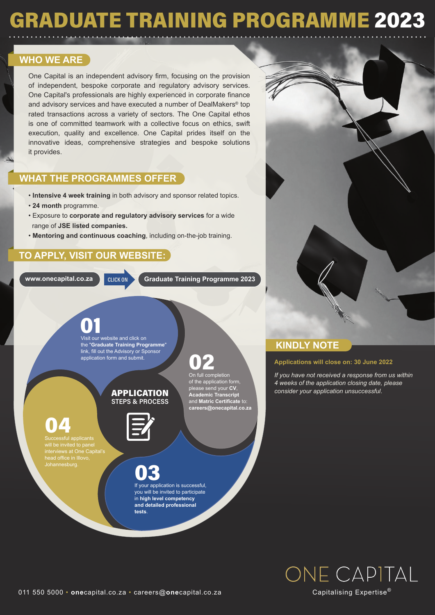### GRADUATE TRAINING PROGRAMME 2023

#### **WHO WE ARE**

One Capital is an independent advisory firm, focusing on the provision of independent, bespoke corporate and regulatory advisory services. One Capital's professionals are highly experienced in corporate finance and advisory services and have executed a number of DealMakers® top rated transactions across a variety of sectors. The One Capital ethos is one of committed teamwork with a collective focus on ethics, swift execution, quality and excellence. One Capital prides itself on the innovative ideas, comprehensive strategies and bespoke solutions it provides.

#### **WHAT THE PROGRAMMES OFFER**

- **Intensive 4 week training** in both advisory and sponsor related topics.
- **24 month** programme.
- Exposure to **corporate and regulatory advisory services** for a wide range of **JSE listed companies.**
- **Mentoring and continuous coaching**, including on-the-job training.

#### **TO APPLY, VISIT OUR WEBSITE:**

**www.onecapital.co.za** CLICK ON **Graduate Training Programme 2023** 

O<sub>2</sub><br>On full completion

of the application form, please send your **CV**, **Academic Transcript** d **Matric Certificate** 

# **01**<br>Visit our website and click on

the "**Graduate Training Programme**" link, fill out the Advisory or Sponsor application form and submit.

#### APPLICATION STEPS & PROCESS



**careers@onecapital.co.za**

### 04

sful applicants will be invited to pane interviews at One Capital's head office in Illovo,



you will be invited to participate in **high level competency and detailed professional tests**.



### **KINDLY NOTE**

#### **Applications will close on: 30 June 2022**

*If you have not received a response from us within 4 weeks of the application closing date, please consider your application unsuccessful*.



011 550 5000 • **one**capital.co.za • careers@**one**capital.co.za

Capitalising Expertise®